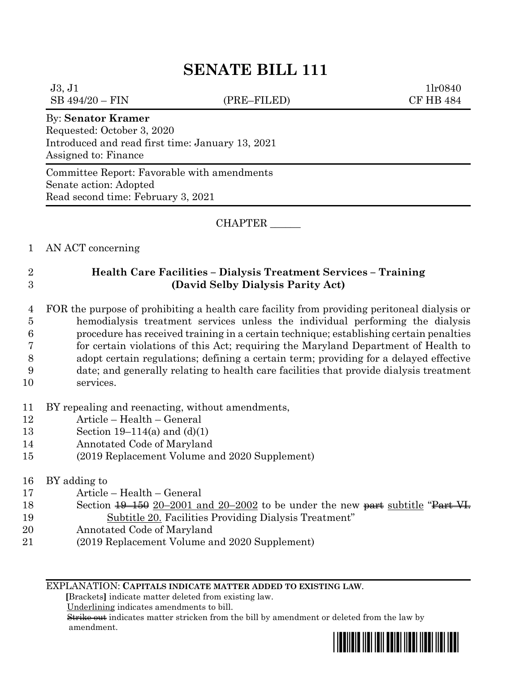# **SENATE BILL 111**

 $J3, J1$  1lr0840 SB 494/20 – FIN (PRE–FILED) CF HB 484

#### By: **Senator Kramer**

Requested: October 3, 2020 Introduced and read first time: January 13, 2021 Assigned to: Finance

Committee Report: Favorable with amendments Senate action: Adopted Read second time: February 3, 2021

CHAPTER \_\_\_\_\_\_

## 1 AN ACT concerning

## 2 **Health Care Facilities – Dialysis Treatment Services – Training** 3 **(David Selby Dialysis Parity Act)**

 FOR the purpose of prohibiting a health care facility from providing peritoneal dialysis or hemodialysis treatment services unless the individual performing the dialysis procedure has received training in a certain technique; establishing certain penalties for certain violations of this Act; requiring the Maryland Department of Health to adopt certain regulations; defining a certain term; providing for a delayed effective date; and generally relating to health care facilities that provide dialysis treatment services.

- 11 BY repealing and reenacting, without amendments,
- 12 Article Health General
- 13 Section 19–114(a) and (d)(1)
- 14 Annotated Code of Maryland
- 15 (2019 Replacement Volume and 2020 Supplement)

### 16 BY adding to

- 17 Article Health General
- 18 Section  $\frac{19-150}{20-2001}$  and 20-2002 to be under the new part subtitle "Part VI. 19 Subtitle 20. Facilities Providing Dialysis Treatment"
- 20 Annotated Code of Maryland
- 21 (2019 Replacement Volume and 2020 Supplement)

#### EXPLANATION: **CAPITALS INDICATE MATTER ADDED TO EXISTING LAW**.

 **[**Brackets**]** indicate matter deleted from existing law.

Underlining indicates amendments to bill.

 Strike out indicates matter stricken from the bill by amendment or deleted from the law by amendment.

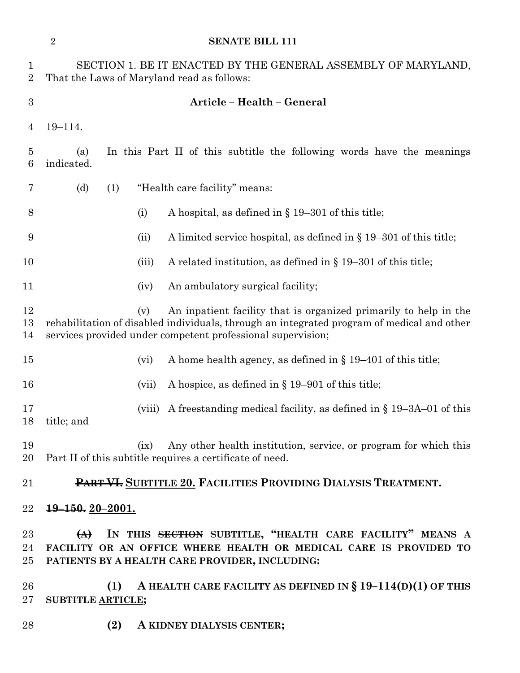|                     | <b>SENATE BILL 111</b><br>$\overline{2}$                                                                                                                                                                                             |
|---------------------|--------------------------------------------------------------------------------------------------------------------------------------------------------------------------------------------------------------------------------------|
| 1<br>$\overline{2}$ | SECTION 1. BE IT ENACTED BY THE GENERAL ASSEMBLY OF MARYLAND,<br>That the Laws of Maryland read as follows:                                                                                                                          |
| $\boldsymbol{3}$    | Article - Health - General                                                                                                                                                                                                           |
| 4                   | $19 - 114.$                                                                                                                                                                                                                          |
| 5<br>6              | In this Part II of this subtitle the following words have the meanings<br>(a)<br>indicated.                                                                                                                                          |
| 7                   | "Health care facility" means:<br>(d)<br>(1)                                                                                                                                                                                          |
| 8                   | A hospital, as defined in $\S$ 19–301 of this title;<br>(i)                                                                                                                                                                          |
| 9                   | A limited service hospital, as defined in $\S 19-301$ of this title;<br>(ii)                                                                                                                                                         |
| 10                  | A related institution, as defined in $\S$ 19–301 of this title;<br>(iii)                                                                                                                                                             |
| 11                  | An ambulatory surgical facility;<br>(iv)                                                                                                                                                                                             |
| 12<br>13<br>14      | An inpatient facility that is organized primarily to help in the<br>(v)<br>rehabilitation of disabled individuals, through an integrated program of medical and other<br>services provided under competent professional supervision; |
| 15                  | A home health agency, as defined in $\S 19-401$ of this title;<br>(vi)                                                                                                                                                               |
| 16                  | A hospice, as defined in $\S 19-901$ of this title;<br>(vii)                                                                                                                                                                         |
| 17<br>18            | A freestanding medical facility, as defined in $\S$ 19–3A–01 of this<br>(viii)<br>title; and                                                                                                                                         |
| 19<br>20            | Any other health institution, service, or program for which this<br>(ix)<br>Part II of this subtitle requires a certificate of need.                                                                                                 |
| 21                  | PART VI. SUBTITLE 20. FACILITIES PROVIDING DIALYSIS TREATMENT.                                                                                                                                                                       |
| 22                  | $19 - 150$ , $20 - 2001$ .                                                                                                                                                                                                           |
| $23\,$<br>24<br>25  | IN THIS SECTION SUBTITLE, "HEALTH CARE FACILITY" MEANS A<br>$\leftrightarrow$<br>FACILITY OR AN OFFICE WHERE HEALTH OR MEDICAL CARE IS PROVIDED TO<br>PATIENTS BY A HEALTH CARE PROVIDER, INCLUDING:                                 |
| 26<br>$27\,$        | A HEALTH CARE FACILITY AS DEFINED IN $\S 19-114(D)(1)$ OF THIS<br>(1)<br><b>SUBTITLE ARTICLE;</b>                                                                                                                                    |
| 28                  | (2)<br>A KIDNEY DIALYSIS CENTER;                                                                                                                                                                                                     |